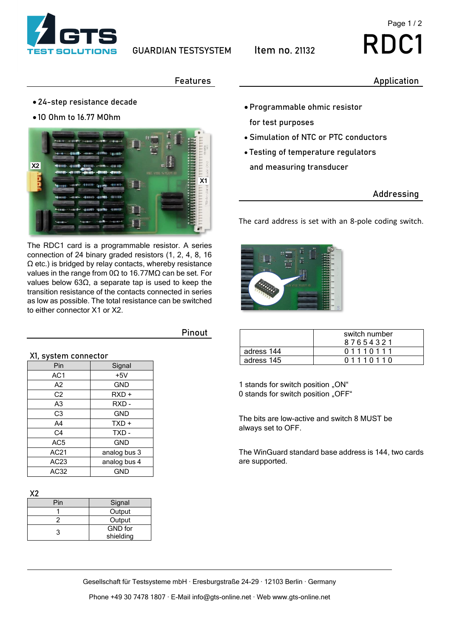

# Page 1 / 2

#### Application

### Features

- 24-step resistance decade
- 1O Ohm to 16.77 MOhm



The RDC1 card is a programmable resistor. A series connection of 24 binary graded resistors (1, 2, 4, 8, 16 Ω etc.) is bridged by relay contacts, whereby resistance values in the range from 0Ω to 16.77MΩ can be set. For values below 63Ω, a separate tap is used to keep the transition resistance of the contacts connected in series as low as possible. The total resistance can be switched to either connector X1 or X2.

| X1, system connector |              |  |  |
|----------------------|--------------|--|--|
| Pin                  | Signal       |  |  |
| AC <sub>1</sub>      | $+5V$        |  |  |
| A2                   | <b>GND</b>   |  |  |
| C <sub>2</sub>       | $RXD +$      |  |  |
| A <sub>3</sub>       | RXD-         |  |  |
| C <sub>3</sub>       | <b>GND</b>   |  |  |
| A <sub>4</sub>       | TXD +        |  |  |
| C <sub>4</sub>       | TXD-         |  |  |
| AC <sub>5</sub>      | <b>GND</b>   |  |  |
| AC21                 | analog bus 3 |  |  |
| AC <sub>23</sub>     | analog bus 4 |  |  |
| AC32                 | GND          |  |  |

**X2**

| Pin | Signal         |  |
|-----|----------------|--|
|     | Output         |  |
|     | Output         |  |
| ર   | <b>GND</b> for |  |
|     | shielding      |  |
|     |                |  |

Pinout

- Programmable ohmic resistor for test purposes
- Simulation of NTC or PTC conductors
- Testing of temperature regulators and measuring transducer

## Addressing

The card address is set with an 8-pole coding switch.



|            | switch number<br>87654321 |
|------------|---------------------------|
| adress 144 | 01110111                  |
| adress 145 | 01110110                  |

1 stands for switch position "ON" 0 stands for switch position "OFF"

The bits are low-active and switch 8 MUST be always set to OFF.

The WinGuard standard base address is 144, two cards are supported.

Gesellschaft für Testsysteme mbH · Eresburgstraße 24-29 · 12103 Berlin · Germany